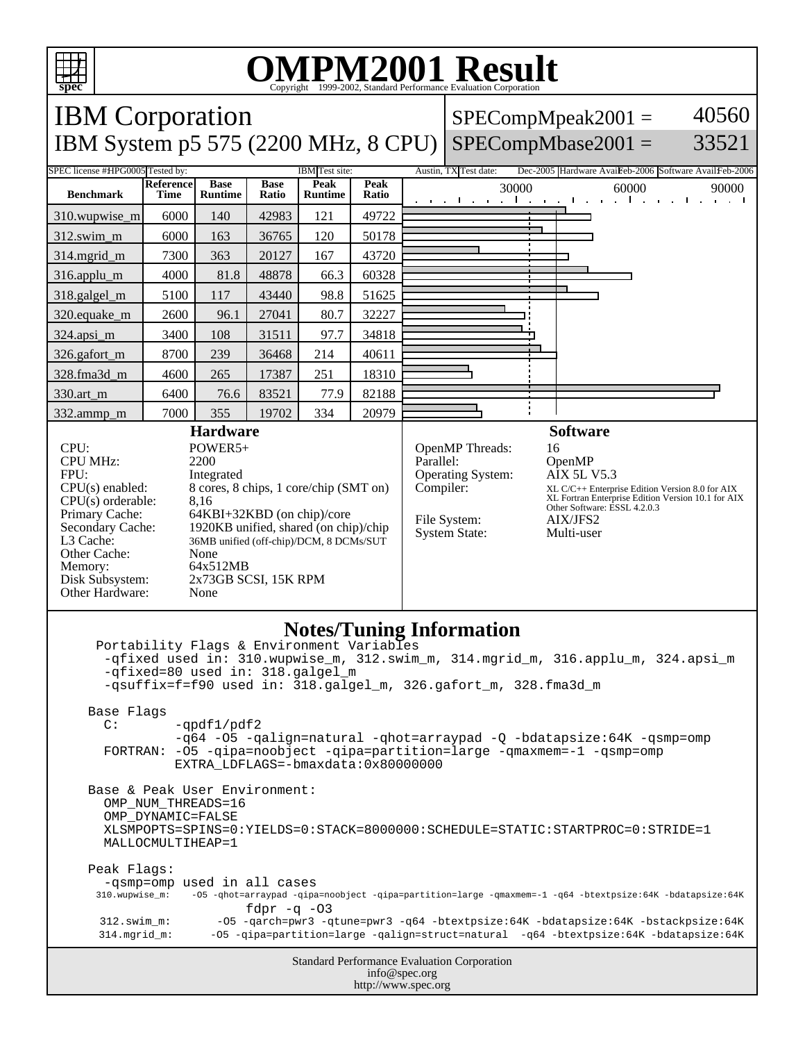

## **OMPM2001 Result** Copyright 1999-2002, Standard Performance Evaluation Corporation

IBM Corporation  $SPECompMpeak2001 =$ 40560 IBM System p5 575 (2200 MHz, 8 CPU) SPECompMbase2001 = 33521 SPEC license #HPG0005 Tested by: IBM Test site: Austin, TX Test date: Dec-2005 Hardware AvaiFeb-2006 Software AvailFeb-2006 **Reference Base Base Peak Peak Peak** 30000 60000 90000<br>**Ratio** 30000 60000 90000 **Benchmark Runtime Time Ratio Runtime** 310.wupwise\_m 6000 140 42983 121 49722 312.swim\_m 6000 163 36765 120 50178 314.mgrid\_m 7300 363 20127 167 43720 316.applu\_m 4000 81.8 48878 66.3 60328 318.galgel\_m | 5100 | 117 | 43440 | 98.8 | 51625 320.equake\_m | 2600 | 96.1 | 27041 | 80.7 | 32227 324.apsi\_m 3400 108 31511 97.7 34818 326.gafort\_m | 8700 | 239 | 36468 | 214 | 40611 328.fma3d\_m | 4600 | 265 | 17387 | 251 | 18310 330.art\_m 6400 76.6 83521 77.9 82188 ÷ 332.ammp\_m | 7000 | 355 | 19702 | 334 | 20979 **Hardware Software** CPU: POWER5+<br>CPU MHz: 2200 OpenMP Threads: 16<br>Parallel: 0p CPU MHz: OpenMP<br>AIX 5L V5.3 FPU: Integrated Operating System: CPU(s) enabled: 8 cores, 8 chips, 1 core/chip (SMT on) Compiler: XL C/C++ Enterprise Edition Version 8.0 for AIX XL Fortran Enterprise Edition Version 10.1 for AIX Other Software: ESSL 4.2.0.3 CPU(s) orderable: 8,16<br>Primary Cache: 64KI Primary Cache: 64KBI+32KBD (on chip)/core<br>Secondary Cache: 1920KB unified, shared (on chi File System: AIX/JFS2  $1920KB$  unified, shared (on chip)/chip System State: Multi-user L3 Cache: 36MB unified (off-chip)/DCM, 8 DCMs/SUT Other Cache: None Memory: 64x512MB<br>Disk Subsystem: 2x73GB SC 2x73GB SCSI, 15K RPM Other Hardware: None **Notes/Tuning Information** Portability Flags & Environment Variables -qfixed used in: 310.wupwise\_m, 312.swim\_m, 314.mgrid\_m, 316.applu\_m, 324.apsi\_m -qfixed=80 used in: 318.galgel\_m -qsuffix=f=f90 used in: 318.galgel\_m, 326.gafort\_m, 328.fma3d\_m Base Flags  $C:$  -qpdf1/pdf2 -q64 -O5 -qalign=natural -qhot=arraypad -Q -bdatapsize:64K -qsmp=omp FORTRAN: -O5 -qipa=noobject -qipa=partition=large -qmaxmem=-1 -qsmp=omp EXTRA\_LDFLAGS=-bmaxdata:0x80000000 Base & Peak User Environment: OMP\_NUM\_THREADS=16 OMP\_DYNAMIC=FALSE XLSMPOPTS=SPINS=0:YIELDS=0:STACK=8000000:SCHEDULE=STATIC:STARTPROC=0:STRIDE=1 MALLOCMULTIHEAP=1 Peak Flags: -qsmp=omp used in all cases<br>310.wupwise\_m: -05 -qhot=arraypad -qipa 310.wupwise\_m: -O5 -qhot=arraypad -qipa=noobject -qipa=partition=large -qmaxmem=-1 -q64 -btextpsize:64K -bdatapsize:64K fd $pr -q -03$  312.swim\_m: -O5 -qarch=pwr3 -qtune=pwr3 -q64 -btextpsize:64K -bdatapsize:64K -bstackpsize:64K 314.mgrid\_m: -O5 -qipa=partition=large -qalign=struct=natural -q64 -btextpsize:64K -bdatapsize:64KStandard Performance Evaluation Corporation info@spec.org http://www.spec.org